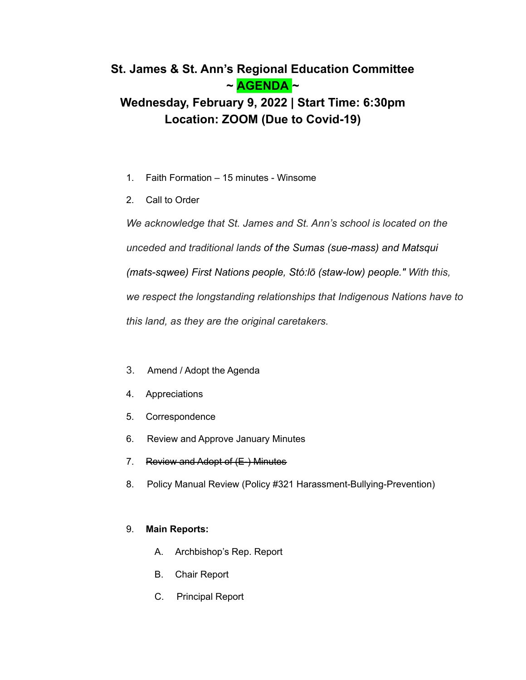## **St. James & St. Ann's Regional Education Committee ~ AGENDA ~**

# **Wednesday, February 9, 2022 | Start Time: 6:30pm Location: ZOOM (Due to Covid-19)**

- 1. Faith Formation 15 minutes Winsome
- 2. Call to Order

*We acknowledge that St. James and St. Ann's school is located on the unceded and traditional lands of the Sumas (sue-mass) and Matsqui (mats-sqwee) First Nations people, Stó:lō (staw-low) people." With this, we respect the longstanding relationships that Indigenous Nations have to this land, as they are the original caretakers.*

- 3. Amend / Adopt the Agenda
- 4. Appreciations
- 5. Correspondence
- 6. Review and Approve January Minutes
- 7. Review and Adopt of (E-) Minutes
- 8. Policy Manual Review (Policy #321 Harassment-Bullying-Prevention)

## 9. **Main Reports:**

- A. Archbishop's Rep. Report
- B. Chair Report
- C. Principal Report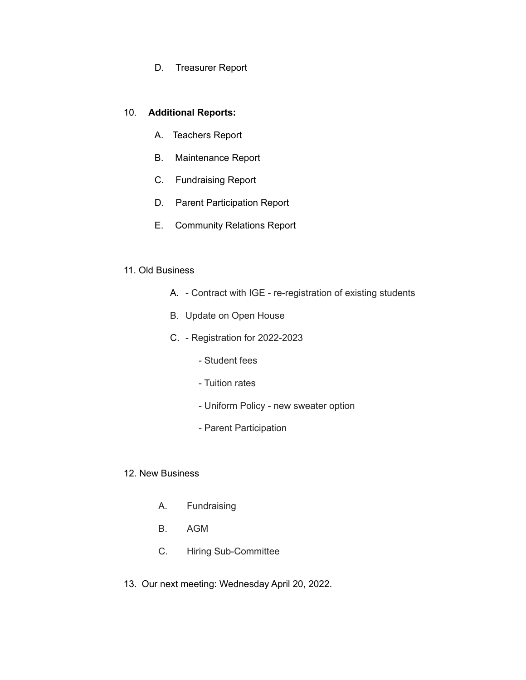D. Treasurer Report

### 10. **Additional Reports:**

- A. Teachers Report
- B. Maintenance Report
- C. Fundraising Report
- D. Parent Participation Report
- E. Community Relations Report

#### 11. Old Business

- A. Contract with IGE re-registration of existing students
- B. Update on Open House
- C. Registration for 2022-2023
	- Student fees
	- Tuition rates
	- Uniform Policy new sweater option
	- Parent Participation
- 12. New Business
	- A. Fundraising
	- B. AGM
	- C. Hiring Sub-Committee
- 13. Our next meeting: Wednesday April 20, 2022.